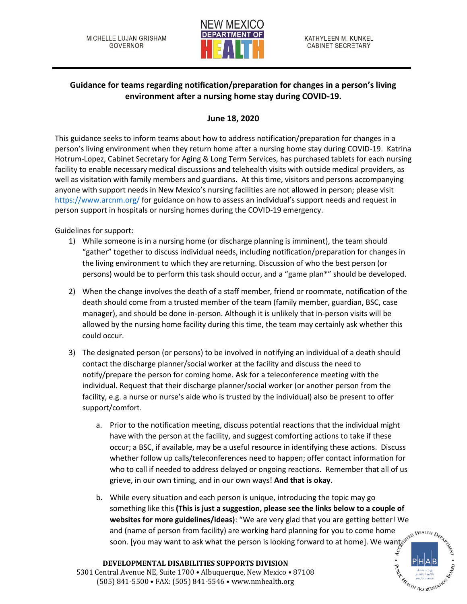

## **Guidance for teams regarding notification/preparation for changes in a person's living environment after a nursing home stay during COVID-19.**

## **June 18, 2020**

This guidance seeks to inform teams about how to address notification/preparation for changes in a person's living environment when they return home after a nursing home stay during COVID-19. Katrina Hotrum-Lopez, Cabinet Secretary for Aging & Long Term Services, has purchased tablets for each nursing facility to enable necessary medical discussions and telehealth visits with outside medical providers, as well as visitation with family members and guardians. At this time, visitors and persons accompanying anyone with support needs in New Mexico's nursing facilities are not allowed in person; please visit <https://www.arcnm.org/> for guidance on how to assess an individual's support needs and request in person support in hospitals or nursing homes during the COVID-19 emergency.

Guidelines for support:

- 1) While someone is in a nursing home (or discharge planning is imminent), the team should "gather" together to discuss individual needs, including notification/preparation for changes in the living environment to which they are returning. Discussion of who the best person (or persons) would be to perform this task should occur, and a "game plan\*" should be developed.
- 2) When the change involves the death of a staff member, friend or roommate, notification of the death should come from a trusted member of the team (family member, guardian, BSC, case manager), and should be done in-person. Although it is unlikely that in-person visits will be allowed by the nursing home facility during this time, the team may certainly ask whether this could occur.
- 3) The designated person (or persons) to be involved in notifying an individual of a death should contact the discharge planner/social worker at the facility and discuss the need to notify/prepare the person for coming home. Ask for a teleconference meeting with the individual. Request that their discharge planner/social worker (or another person from the facility, e.g. a nurse or nurse's aide who is trusted by the individual) also be present to offer support/comfort.
	- a. Prior to the notification meeting, discuss potential reactions that the individual might have with the person at the facility, and suggest comforting actions to take if these occur; a BSC, if available, may be a useful resource in identifying these actions. Discuss whether follow up calls/teleconferences need to happen; offer contact information for who to call if needed to address delayed or ongoing reactions. Remember that all of us grieve, in our own timing, and in our own ways! **And that is okay**.
	- b. While every situation and each person is unique, introducing the topic may go something like this **(This is just a suggestion, please see the links below to a couple of websites for more guidelines/ideas)**: "We are very glad that you are getting better! We and (name of person from facility) are working hard planning for you to come home soon. [you may want to ask what the person is looking forward to at home]. We wants

**Hell TH ACCREDITATION** 

**DEVELOPMENTAL DISABILITIES SUPPORTS DIVISION** 5301 Central Avenue NE, Suite 1700 • Albuquerque, New Mexico • 87108 (505) 841-5500 • FAX: (505) 841-5546 • www.nmhealth.org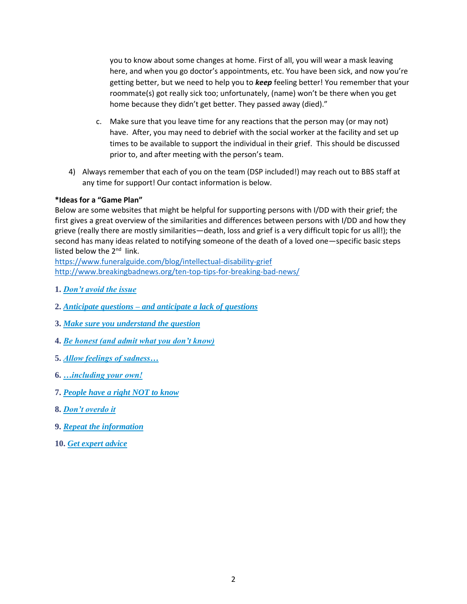you to know about some changes at home. First of all, you will wear a mask leaving here, and when you go doctor's appointments, etc. You have been sick, and now you're getting better, but we need to help you to *keep* feeling better! You remember that your roommate(s) got really sick too; unfortunately, (name) won't be there when you get home because they didn't get better. They passed away (died)."

- c. Make sure that you leave time for any reactions that the person may (or may not) have. After, you may need to debrief with the social worker at the facility and set up times to be available to support the individual in their grief. This should be discussed prior to, and after meeting with the person's team.
- 4) Always remember that each of you on the team (DSP included!) may reach out to BBS staff at any time for support! Our contact information is below.

## **\*Ideas for a "Game Plan"**

Below are some websites that might be helpful for supporting persons with I/DD with their grief; the first gives a great overview of the similarities and differences between persons with I/DD and how they grieve (really there are mostly similarities—death, loss and grief is a very difficult topic for us all!); the second has many ideas related to notifying someone of the death of a loved one—specific basic steps listed below the 2<sup>nd</sup> link.

<https://www.funeralguide.com/blog/intellectual-disability-grief> <http://www.breakingbadnews.org/ten-top-tips-for-breaking-bad-news/>

- **1.** *[Don't avoid the issue](http://www.breakingbadnews.org/ten-top-tips-for-breaking-bad-news/#1)*
- **2.** *Anticipate questions – [and anticipate a lack of questions](http://www.breakingbadnews.org/ten-top-tips-for-breaking-bad-news/#2)*
- **3.** *[Make sure you understand the question](http://www.breakingbadnews.org/ten-top-tips-for-breaking-bad-news/#3)*
- **4.** *[Be honest \(and admit what you don't know\)](http://www.breakingbadnews.org/ten-top-tips-for-breaking-bad-news/#4)*
- **5.** *[Allow feelings of sadness…](http://www.breakingbadnews.org/ten-top-tips-for-breaking-bad-news/#5)*
- **6.** *[…including your own!](http://www.breakingbadnews.org/ten-top-tips-for-breaking-bad-news/#6)*
- **7.** *[People have a right NOT to know](http://www.breakingbadnews.org/ten-top-tips-for-breaking-bad-news/#7)*
- **8.** *[Don't overdo it](http://www.breakingbadnews.org/ten-top-tips-for-breaking-bad-news/#8)*
- **9.** *[Repeat the information](http://www.breakingbadnews.org/ten-top-tips-for-breaking-bad-news/#9)*
- **10.** *[Get expert advice](http://www.breakingbadnews.org/ten-top-tips-for-breaking-bad-news/#10)*